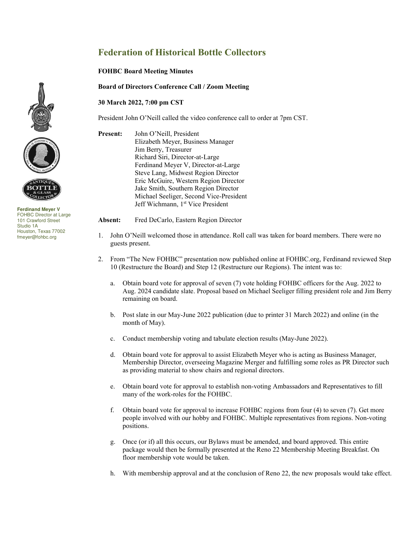## **Federation of Historical Bottle Collectors**

## **FOHBC Board Meeting Minutes**

**Board of Directors Conference Call / Zoom Meeting** 

## **30 March 2022, 7:00 pm CST**

President John O'Neill called the video conference call to order at 7pm CST.

**Present:** John O'Neill, President Elizabeth Meyer, Business Manager Jim Berry, Treasurer Richard Siri, Director-at-Large Ferdinand Meyer V, Director-at-Large Steve Lang, Midwest Region Director Eric McGuire, Western Region Director Jake Smith, Southern Region Director Michael Seeliger, Second Vice-President Jeff Wichmann, 1<sup>st</sup> Vice President

**Absent:** Fred DeCarlo, Eastern Region Director

- 1. John O'Neill welcomed those in attendance. Roll call was taken for board members. There were no guests present.
- 2. From "The New FOHBC" presentation now published online at FOHBC.org, Ferdinand reviewed Step 10 (Restructure the Board) and Step 12 (Restructure our Regions). The intent was to:
	- a. Obtain board vote for approval of seven (7) vote holding FOHBC officers for the Aug. 2022 to Aug. 2024 candidate slate. Proposal based on Michael Seeliger filling president role and Jim Berry remaining on board.
	- b. Post slate in our May-June 2022 publication (due to printer 31 March 2022) and online (in the month of May).
	- c. Conduct membership voting and tabulate election results (May-June 2022).
	- d. Obtain board vote for approval to assist Elizabeth Meyer who is acting as Business Manager, Membership Director, overseeing Magazine Merger and fulfilling some roles as PR Director such as providing material to show chairs and regional directors.
	- e. Obtain board vote for approval to establish non-voting Ambassadors and Representatives to fill many of the work-roles for the FOHBC.
	- f. Obtain board vote for approval to increase FOHBC regions from four (4) to seven (7). Get more people involved with our hobby and FOHBC. Multiple representatives from regions. Non-voting positions.
	- g. Once (or if) all this occurs, our Bylaws must be amended, and board approved. This entire package would then be formally presented at the Reno 22 Membership Meeting Breakfast. On floor membership vote would be taken.
	- h. With membership approval and at the conclusion of Reno 22, the new proposals would take effect.





**Ferdinand Meyer V**  FOHBC Director at Large 101 Crawford Street Studio 1A Houston, Texas 77002 fmeyer@fohbc.org